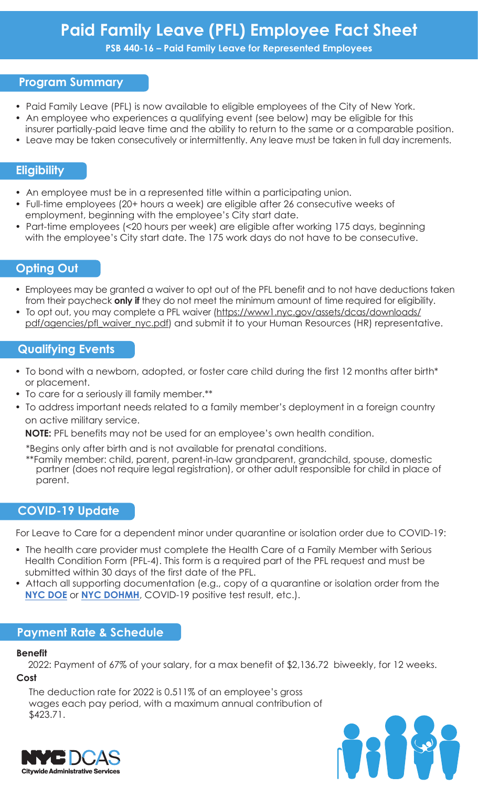# **Paid Family Leave (PFL) Employee Fact Sheet**

**PSB 440-16 – Paid Family Leave for Represented Employees**

## **Program Summary**

- Paid Family Leave (PFL) is now available to eligible employees of the City of New York.
- An employee who experiences a qualifying event (see below) may be eligible for this
- insurer partially-paid leave time and the ability to return to the same or a comparable position.
- Leave may be taken consecutively or intermittently. Any leave must be taken in full day increments.

## **Eligibility**

- An employee must be in a represented title within a participating union.
- Full-time employees (20+ hours a week) are eligible after 26 consecutive weeks of employment, beginning with the employee's City start date.
- Part-time employees (<20 hours per week) are eligible after working 175 days, beginning with the employee's City start date. The 175 work days do not have to be consecutive.

## **Opting Out**

- Employees may be granted a waiver to opt out of the PFL benefit and to not have deductions taken from their paycheck **only if** they do not meet the minimum amount of time required for eligibility.
- To opt out, you may complete a PFL waiver (https://www1.nyc.gov/assets/dcas/downloads/ pdf/agencies/pfl\_waiver\_nyc.pdf) and submit it to your Human Resources (HR) representative.

## **Qualifying Events**

- To bond with a newborn, adopted, or foster care child during the first 12 months after birth\* or placement.
- To care for a seriously ill family member.\*\*
- To address important needs related to a family member's deployment in a foreign country on active military service.

**NOTE:** PFL benefits may not be used for an employee's own health condition.

\*Begins only after birth and is not available for prenatal conditions.

\*\*Family member: child, parent, parent-in-law grandparent, grandchild, spouse, domestic partner (does not require legal registration), or other adult responsible for child in place of parent.

## **COVID-19 Update**

For Leave to Care for a dependent minor under quarantine or isolation order due to COVID-19:

- The health care provider must complete the Health Care of a Family Member with Serious Health Condition Form (PFL-4). This form is a required part of the PFL request and must be submitted within 30 days of the first date of the PFL.
- Attach all supporting documentation (e.g., copy of a quarantine or isolation order from the **[NYC DOE](https://www.schools.nyc.gov/school-life/health-and-wellness/coronavirus-update)** or **[NYC DOHMH](https://www1.nyc.gov/site/doh/covid/covid-19-main.page)**, COVID-19 positive test result, etc.).

### **Payment Rate & Schedule**

#### **Benefit**

2022: Payment of 67% of your salary, for a max benefit of \$2,136.72 biweekly, for 12 weeks. **Cost**

The deduction rate for 2022 is 0.511% of an employee's gross wages each pay period, with a maximum annual contribution of \$423.71.